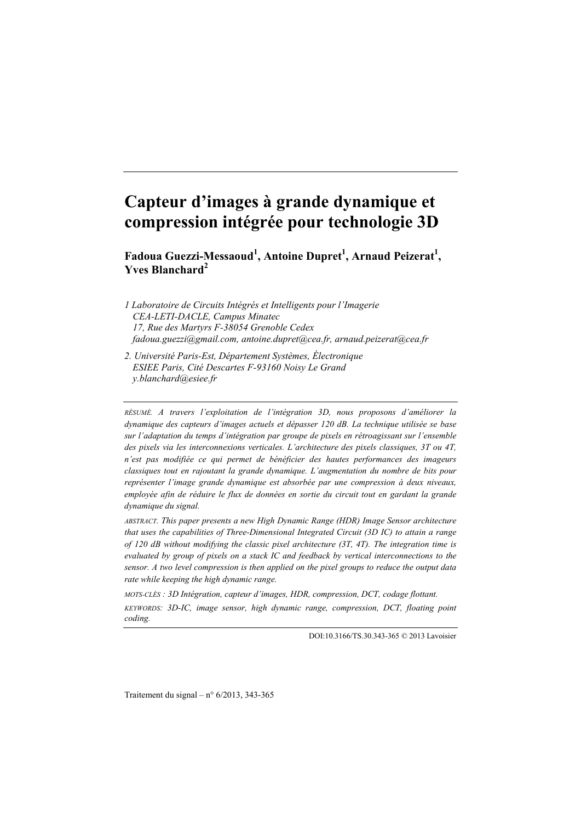# **Capteur d'images à grande dynamique et compression intégrée pour technologie 3D**

Fadoua Guezzi-Messaoud<sup>1</sup>, Antoine Dupret<sup>1</sup>, Arnaud Peizerat<sup>1</sup>, **Yves Blanchard<sup>2</sup>**

*1 Laboratoire de Circuits Intégrés et Intelligents pour l'Imagerie CEA-LETI-DACLE, Campus Minatec 17, Rue des Martyrs F-38054 Grenoble Cedex fadoua.guezzi@gmail.com, antoine.dupret@cea.fr, arnaud.peizerat@cea.fr*

*2. Université Paris-Est, Département Systèmes, Électronique ESIEE Paris, Cité Descartes F-93160 Noisy Le Grand y.blanchard@esiee.fr*

*RÉSUMÉ. A travers l'exploitation de l'intégration 3D, nous proposons d'améliorer la dynamique des capteurs d'images actuels et dépasser 120 dB. La technique utilisée se base sur l'adaptation du temps d'intégration par groupe de pixels en rétroagissant sur l'ensemble des pixels via les interconnexions verticales. L'architecture des pixels classiques, 3T ou 4T, n'est pas modifiée ce qui permet de bénéficier des hautes performances des imageurs classiques tout en rajoutant la grande dynamique. L'augmentation du nombre de bits pour représenter l'image grande dynamique est absorbée par une compression à deux niveaux, employée afin de réduire le flux de données en sortie du circuit tout en gardant la grande dynamique du signal.*

*ABSTRACT. This paper presents a new High Dynamic Range (HDR) Image Sensor architecture that uses the capabilities of Three-Dimensional Integrated Circuit (3D IC) to attain a range of 120 dB without modifying the classic pixel architecture (3T, 4T). The integration time is evaluated by group of pixels on a stack IC and feedback by vertical interconnections to the sensor. A two level compression is then applied on the pixel groups to reduce the output data rate while keeping the high dynamic range.*

*MOTS-CLÉS : 3D Intégration, capteur d'images, HDR, compression, DCT, codage flottant.*

*KEYWORDS: 3D-IC, image sensor, high dynamic range, compression, DCT, floating point coding.*

DOI:10.3166/TS.30.343-365 © 2013 Lavoisier

Traitement du signal – n°  $6/2013$ , 343-365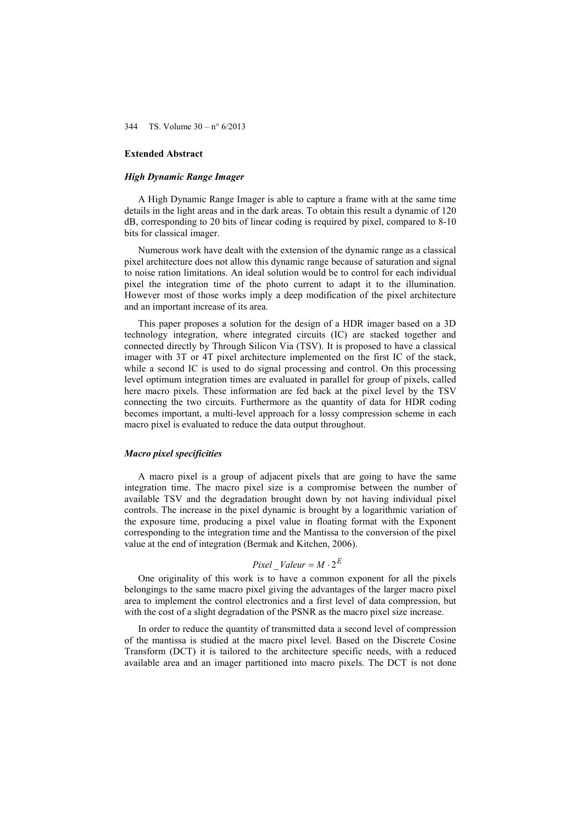# **Extended Abstract**

#### *High Dynamic Range Imager*

A High Dynamic Range Imager is able to capture a frame with at the same time details in the light areas and in the dark areas. To obtain this result a dynamic of 120 dB, corresponding to 20 bits of linear coding is required by pixel, compared to 8-10 bits for classical imager.

Numerous work have dealt with the extension of the dynamic range as a classical pixel architecture does not allow this dynamic range because of saturation and signal to noise ration limitations. An ideal solution would be to control for each individual pixel the integration time of the photo current to adapt it to the illumination. However most of those works imply a deep modification of the pixel architecture and an important increase of its area.

This paper proposes a solution for the design of a HDR imager based on a 3D technology integration, where integrated circuits (IC) are stacked together and connected directly by Through Silicon Via (TSV). It is proposed to have a classical imager with 3T or 4T pixel architecture implemented on the first IC of the stack, while a second IC is used to do signal processing and control. On this processing level optimum integration times are evaluated in parallel for group of pixels, called here macro pixels. These information are fed back at the pixel level by the TSV connecting the two circuits. Furthermore as the quantity of data for HDR coding becomes important, a multi-level approach for a lossy compression scheme in each macro pixel is evaluated to reduce the data output throughout.

#### *Macro pixel specificities*

A macro pixel is a group of adjacent pixels that are going to have the same integration time. The macro pixel size is a compromise between the number of available TSV and the degradation brought down by not having individual pixel controls. The increase in the pixel dynamic is brought by a logarithmic variation of the exposure time, producing a pixel value in floating format with the Exponent corresponding to the integration time and the Mantissa to the conversion of the pixel value at the end of integration (Bermak and Kitchen, 2006).

# *Pixel*  $\_$ *Valeur* = *M*  $\cdot$  2<sup>*E*</sup>

One originality of this work is to have a common exponent for all the pixels belongings to the same macro pixel giving the advantages of the larger macro pixel area to implement the control electronics and a first level of data compression, but with the cost of a slight degradation of the PSNR as the macro pixel size increase.

In order to reduce the quantity of transmitted data a second level of compression of the mantissa is studied at the macro pixel level. Based on the Discrete Cosine Transform (DCT) it is tailored to the architecture specific needs, with a reduced available area and an imager partitioned into macro pixels. The DCT is not done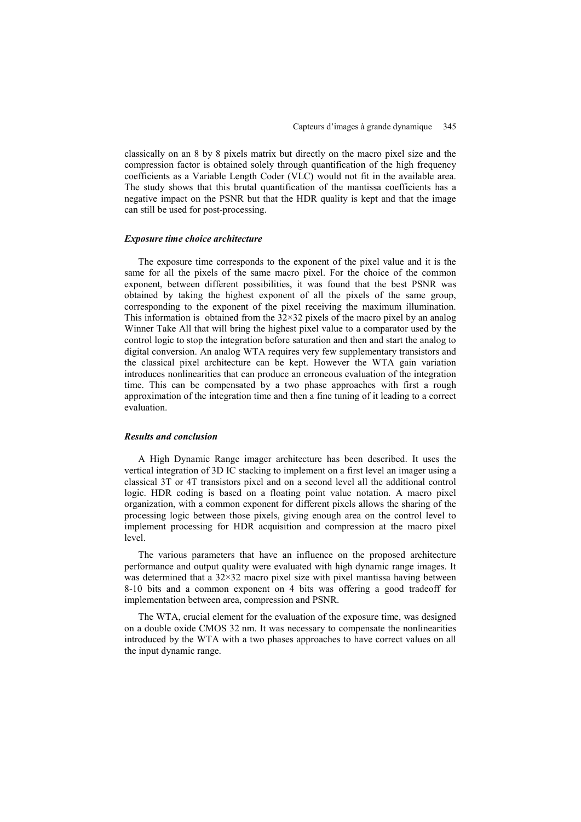classically on an 8 by 8 pixels matrix but directly on the macro pixel size and the compression factor is obtained solely through quantification of the high frequency coefficients as a Variable Length Coder (VLC) would not fit in the available area. The study shows that this brutal quantification of the mantissa coefficients has a negative impact on the PSNR but that the HDR quality is kept and that the image can still be used for post-processing.

# *Exposure time choice architecture*

The exposure time corresponds to the exponent of the pixel value and it is the same for all the pixels of the same macro pixel. For the choice of the common exponent, between different possibilities, it was found that the best PSNR was obtained by taking the highest exponent of all the pixels of the same group, corresponding to the exponent of the pixel receiving the maximum illumination. This information is obtained from the  $32\times32$  pixels of the macro pixel by an analog Winner Take All that will bring the highest pixel value to a comparator used by the control logic to stop the integration before saturation and then and start the analog to digital conversion. An analog WTA requires very few supplementary transistors and the classical pixel architecture can be kept. However the WTA gain variation introduces nonlinearities that can produce an erroneous evaluation of the integration time. This can be compensated by a two phase approaches with first a rough approximation of the integration time and then a fine tuning of it leading to a correct evaluation.

#### *Results and conclusion*

A High Dynamic Range imager architecture has been described. It uses the vertical integration of 3D IC stacking to implement on a first level an imager using a classical 3T or 4T transistors pixel and on a second level all the additional control logic. HDR coding is based on a floating point value notation. A macro pixel organization, with a common exponent for different pixels allows the sharing of the processing logic between those pixels, giving enough area on the control level to implement processing for HDR acquisition and compression at the macro pixel level.

The various parameters that have an influence on the proposed architecture performance and output quality were evaluated with high dynamic range images. It was determined that a  $32\times32$  macro pixel size with pixel mantissa having between 8-10 bits and a common exponent on 4 bits was offering a good tradeoff for implementation between area, compression and PSNR.

The WTA, crucial element for the evaluation of the exposure time, was designed on a double oxide CMOS 32 nm. It was necessary to compensate the nonlinearities introduced by the WTA with a two phases approaches to have correct values on all the input dynamic range.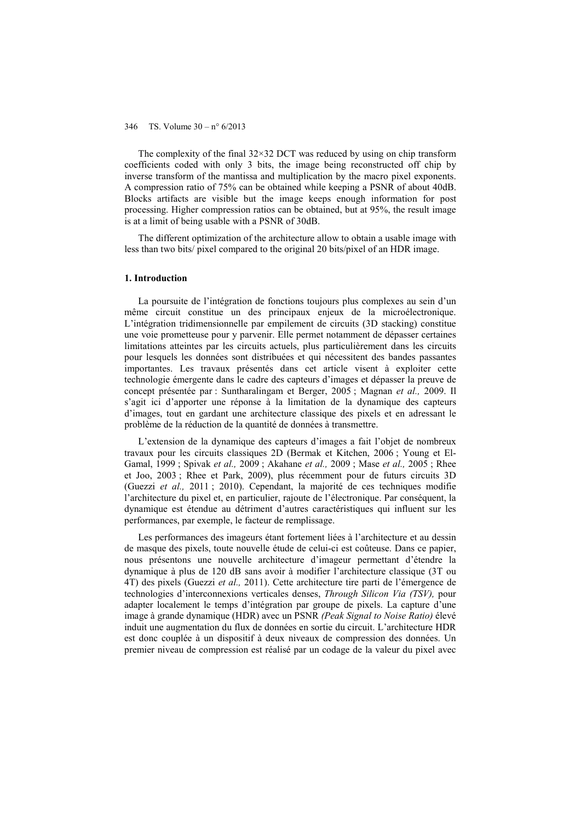The complexity of the final  $32\times32$  DCT was reduced by using on chip transform coefficients coded with only 3 bits, the image being reconstructed off chip by inverse transform of the mantissa and multiplication by the macro pixel exponents. A compression ratio of 75% can be obtained while keeping a PSNR of about 40dB. Blocks artifacts are visible but the image keeps enough information for post processing. Higher compression ratios can be obtained, but at 95%, the result image is at a limit of being usable with a PSNR of 30dB.

The different optimization of the architecture allow to obtain a usable image with less than two bits/ pixel compared to the original 20 bits/pixel of an HDR image.

#### **1. Introduction**

La poursuite de l'intégration de fonctions toujours plus complexes au sein d'un même circuit constitue un des principaux enjeux de la microélectronique. L'intégration tridimensionnelle par empilement de circuits (3D stacking) constitue une voie prometteuse pour y parvenir. Elle permet notamment de dépasser certaines limitations atteintes par les circuits actuels, plus particulièrement dans les circuits pour lesquels les données sont distribuées et qui nécessitent des bandes passantes importantes. Les travaux présentés dans cet article visent à exploiter cette technologie émergente dans le cadre des capteurs d'images et dépasser la preuve de concept présentée par : Suntharalingam et Berger, 2005 ; Magnan *et al.,* 2009. Il s'agit ici d'apporter une réponse à la limitation de la dynamique des capteurs d'images, tout en gardant une architecture classique des pixels et en adressant le problème de la réduction de la quantité de données à transmettre.

L'extension de la dynamique des capteurs d'images a fait l'objet de nombreux travaux pour les circuits classiques 2D (Bermak et Kitchen, 2006 ; Young et El-Gamal, 1999 ; Spivak *et al.,* 2009 ; Akahane *et al.,* 2009 ; Mase *et al.,* 2005 ; Rhee et Joo, 2003 ; Rhee et Park, 2009), plus récemment pour de futurs circuits 3D (Guezzi *et al.,* 2011 ; 2010). Cependant, la majorité de ces techniques modifie l'architecture du pixel et, en particulier, rajoute de l'électronique. Par conséquent, la dynamique est étendue au détriment d'autres caractéristiques qui influent sur les performances, par exemple, le facteur de remplissage.

Les performances des imageurs étant fortement liées à l'architecture et au dessin de masque des pixels, toute nouvelle étude de celui-ci est coûteuse. Dans ce papier, nous présentons une nouvelle architecture d'imageur permettant d'étendre la dynamique à plus de 120 dB sans avoir à modifier l'architecture classique (3T ou 4T) des pixels (Guezzi *et al.,* 2011). Cette architecture tire parti de l'émergence de technologies d'interconnexions verticales denses, *Through Silicon Via (TSV),* pour adapter localement le temps d'intégration par groupe de pixels. La capture d'une image à grande dynamique (HDR) avec un PSNR *(Peak Signal to Noise Ratio)* élevé induit une augmentation du flux de données en sortie du circuit. L'architecture HDR est donc couplée à un dispositif à deux niveaux de compression des données. Un premier niveau de compression est réalisé par un codage de la valeur du pixel avec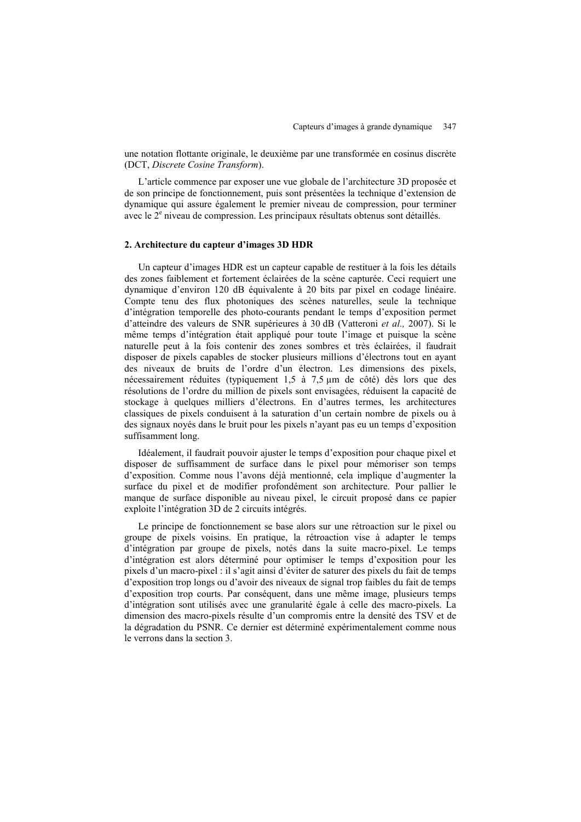une notation flottante originale, le deuxième par une transformée en cosinus discrète (DCT, *Discrete Cosine Transform*).

L'article commence par exposer une vue globale de l'architecture 3D proposée et de son principe de fonctionnement, puis sont présentées la technique d'extension de dynamique qui assure également le premier niveau de compression, pour terminer avec le 2<sup>e</sup> niveau de compression. Les principaux résultats obtenus sont détaillés.

# **2. Architecture du capteur d'images 3D HDR**

Un capteur d'images HDR est un capteur capable de restituer à la fois les détails des zones faiblement et fortement éclairées de la scène capturée. Ceci requiert une dynamique d'environ 120 dB équivalente à 20 bits par pixel en codage linéaire. Compte tenu des flux photoniques des scènes naturelles, seule la technique d'intégration temporelle des photo-courants pendant le temps d'exposition permet d'atteindre des valeurs de SNR supérieures à 30 dB (Vatteroni *et al.,* 2007). Si le même temps d'intégration était appliqué pour toute l'image et puisque la scène naturelle peut à la fois contenir des zones sombres et très éclairées, il faudrait disposer de pixels capables de stocker plusieurs millions d'électrons tout en ayant des niveaux de bruits de l'ordre d'un électron. Les dimensions des pixels, nécessairement réduites (typiquement 1,5 à 7,5 µm de côté) dès lors que des résolutions de l'ordre du million de pixels sont envisagées, réduisent la capacité de stockage à quelques milliers d'électrons. En d'autres termes, les architectures classiques de pixels conduisent à la saturation d'un certain nombre de pixels ou à des signaux noyés dans le bruit pour les pixels n'ayant pas eu un temps d'exposition suffisamment long.

Idéalement, il faudrait pouvoir ajuster le temps d'exposition pour chaque pixel et disposer de suffisamment de surface dans le pixel pour mémoriser son temps d'exposition. Comme nous l'avons déjà mentionné, cela implique d'augmenter la surface du pixel et de modifier profondément son architecture. Pour pallier le manque de surface disponible au niveau pixel, le circuit proposé dans ce papier exploite l'intégration 3D de 2 circuits intégrés.

Le principe de fonctionnement se base alors sur une rétroaction sur le pixel ou groupe de pixels voisins. En pratique, la rétroaction vise à adapter le temps d'intégration par groupe de pixels, notés dans la suite macro-pixel. Le temps d'intégration est alors déterminé pour optimiser le temps d'exposition pour les pixels d'un macro-pixel : il s'agit ainsi d'éviter de saturer des pixels du fait de temps d'exposition trop longs ou d'avoir des niveaux de signal trop faibles du fait de temps d'exposition trop courts. Par conséquent, dans une même image, plusieurs temps d'intégration sont utilisés avec une granularité égale à celle des macro-pixels. La dimension des macro-pixels résulte d'un compromis entre la densité des TSV et de la dégradation du PSNR. Ce dernier est déterminé expérimentalement comme nous le verrons dans la section 3.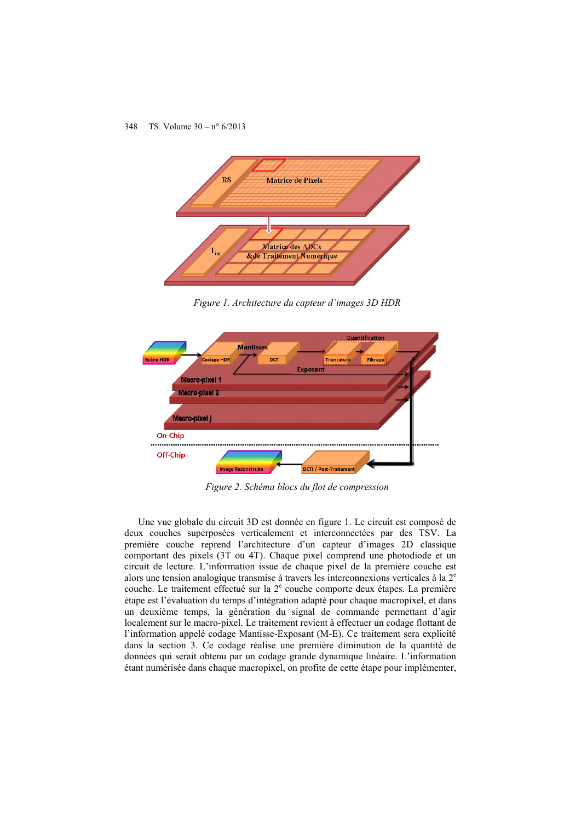

*Figure 1. Architecture du capteur d'images 3D HDR* 



*Figure 2. Schéma blocs du flot de compression* 

Une vue globale du circuit 3D est donnée en figure 1. Le circuit est composé de deux couches superposées verticalement et interconnectées par des TSV. La première couche reprend l'architecture d'un capteur d'images 2D classique comportant des pixels (3T ou 4T). Chaque pixel comprend une photodiode et un circuit de lecture. L'information issue de chaque pixel de la première couche est alors une tension analogique transmise à travers les interconnexions verticales à la  $2<sup>e</sup>$ couche. Le traitement effectué sur la  $2<sup>e</sup>$  couche comporte deux étapes. La première étape est l'évaluation du temps d'intégration adapté pour chaque macropixel, et dans un deuxième temps, la génération du signal de commande permettant d'agir localement sur le macro-pixel. Le traitement revient à effectuer un codage flottant de l'information appelé codage Mantisse-Exposant (M-E). Ce traitement sera explicité dans la section 3. Ce codage réalise une première diminution de la quantité de données qui serait obtenu par un codage grande dynamique linéaire. L'information étant numérisée dans chaque macropixel, on profite de cette étape pour implémenter,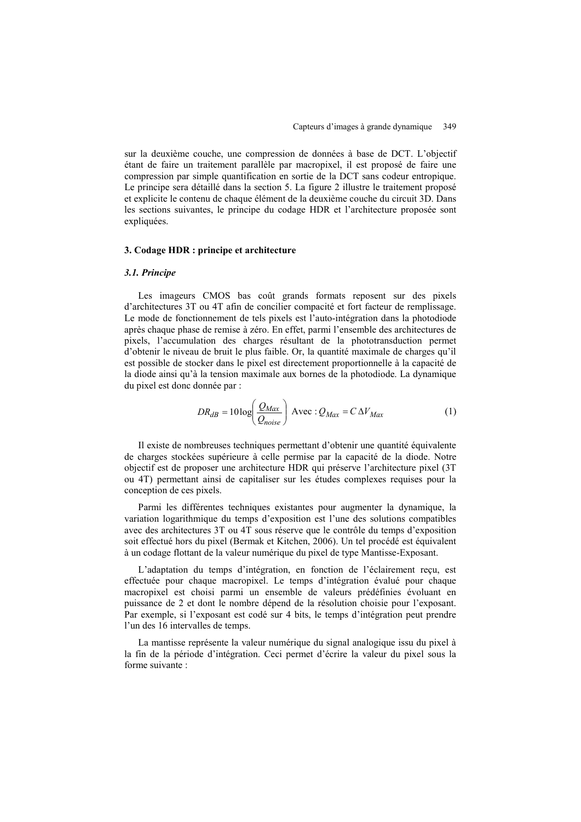sur la deuxième couche, une compression de données à base de DCT. L'objectif étant de faire un traitement parallèle par macropixel, il est proposé de faire une compression par simple quantification en sortie de la DCT sans codeur entropique. Le principe sera détaillé dans la section 5. La figure 2 illustre le traitement proposé et explicite le contenu de chaque élément de la deuxième couche du circuit 3D. Dans les sections suivantes, le principe du codage HDR et l'architecture proposée sont expliquées.

# **3. Codage HDR : principe et architecture**

# *3.1. Principe*

Les imageurs CMOS bas coût grands formats reposent sur des pixels d'architectures 3T ou 4T afin de concilier compacité et fort facteur de remplissage. Le mode de fonctionnement de tels pixels est l'auto-intégration dans la photodiode après chaque phase de remise à zéro. En effet, parmi l'ensemble des architectures de pixels, l'accumulation des charges résultant de la phototransduction permet d'obtenir le niveau de bruit le plus faible. Or, la quantité maximale de charges qu'il est possible de stocker dans le pixel est directement proportionnelle à la capacité de la diode ainsi qu'à la tension maximale aux bornes de la photodiode. La dynamique du pixel est donc donnée par :

$$
DR_{dB} = 10 \log \left( \frac{Q_{Max}}{Q_{noise}} \right) \text{ Avec} : Q_{Max} = C \Delta V_{Max}
$$
 (1)

Il existe de nombreuses techniques permettant d'obtenir une quantité équivalente de charges stockées supérieure à celle permise par la capacité de la diode. Notre objectif est de proposer une architecture HDR qui préserve l'architecture pixel (3T ou 4T) permettant ainsi de capitaliser sur les études complexes requises pour la conception de ces pixels.

Parmi les différentes techniques existantes pour augmenter la dynamique, la variation logarithmique du temps d'exposition est l'une des solutions compatibles avec des architectures 3T ou 4T sous réserve que le contrôle du temps d'exposition soit effectué hors du pixel (Bermak et Kitchen, 2006). Un tel procédé est équivalent à un codage flottant de la valeur numérique du pixel de type Mantisse-Exposant.

L'adaptation du temps d'intégration, en fonction de l'éclairement reçu, est effectuée pour chaque macropixel. Le temps d'intégration évalué pour chaque macropixel est choisi parmi un ensemble de valeurs prédéfinies évoluant en puissance de 2 et dont le nombre dépend de la résolution choisie pour l'exposant. Par exemple, si l'exposant est codé sur 4 bits, le temps d'intégration peut prendre l'un des 16 intervalles de temps.

La mantisse représente la valeur numérique du signal analogique issu du pixel à la fin de la période d'intégration. Ceci permet d'écrire la valeur du pixel sous la forme suivante :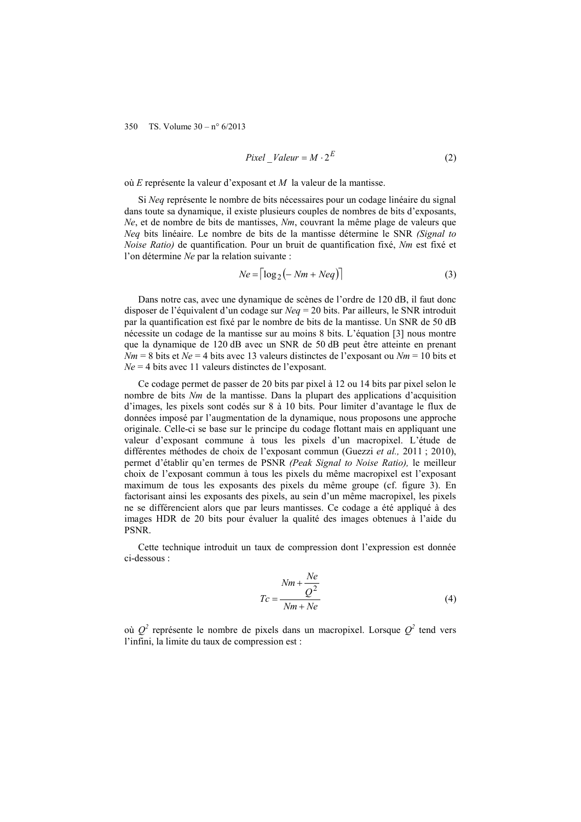$$
Pixel\_Value = M \cdot 2^E \tag{2}
$$

où *E* représente la valeur d'exposant et *M* la valeur de la mantisse.

Si *Neq* représente le nombre de bits nécessaires pour un codage linéaire du signal dans toute sa dynamique, il existe plusieurs couples de nombres de bits d'exposants, *Ne*, et de nombre de bits de mantisses, *Nm*, couvrant la même plage de valeurs que *Neq* bits linéaire. Le nombre de bits de la mantisse détermine le SNR *(Signal to Noise Ratio)* de quantification. Pour un bruit de quantification fixé, *Nm* est fixé et l'on détermine *Ne* par la relation suivante :

$$
Ne = \lceil \log_2(-Nm + Neq) \rceil \tag{3}
$$

Dans notre cas, avec une dynamique de scènes de l'ordre de 120 dB, il faut donc disposer de l'équivalent d'un codage sur *Neq* = 20 bits. Par ailleurs, le SNR introduit par la quantification est fixé par le nombre de bits de la mantisse. Un SNR de 50 dB nécessite un codage de la mantisse sur au moins 8 bits. L'équation [3] nous montre que la dynamique de 120 dB avec un SNR de 50 dB peut être atteinte en prenant  $Nm = 8$  bits et  $Ne = 4$  bits avec 13 valeurs distinctes de l'exposant ou  $Nm = 10$  bits et *Ne* = 4 bits avec 11 valeurs distinctes de l'exposant.

Ce codage permet de passer de 20 bits par pixel à 12 ou 14 bits par pixel selon le nombre de bits *Nm* de la mantisse. Dans la plupart des applications d'acquisition d'images, les pixels sont codés sur 8 à 10 bits. Pour limiter d'avantage le flux de données imposé par l'augmentation de la dynamique, nous proposons une approche originale. Celle-ci se base sur le principe du codage flottant mais en appliquant une valeur d'exposant commune à tous les pixels d'un macropixel. L'étude de différentes méthodes de choix de l'exposant commun (Guezzi *et al.,* 2011 ; 2010), permet d'établir qu'en termes de PSNR *(Peak Signal to Noise Ratio),* le meilleur choix de l'exposant commun à tous les pixels du même macropixel est l'exposant maximum de tous les exposants des pixels du même groupe (cf. figure 3). En factorisant ainsi les exposants des pixels, au sein d'un même macropixel, les pixels ne se différencient alors que par leurs mantisses. Ce codage a été appliqué à des images HDR de 20 bits pour évaluer la qualité des images obtenues à l'aide du PSNR.

Cette technique introduit un taux de compression dont l'expression est donnée ci-dessous :

$$
Tc = \frac{Nm + \frac{Ne}{Q^2}}{Nm + Ne}
$$
\n(4)

où  $Q^2$  représente le nombre de pixels dans un macropixel. Lorsque  $Q^2$  tend vers l'infini, la limite du taux de compression est :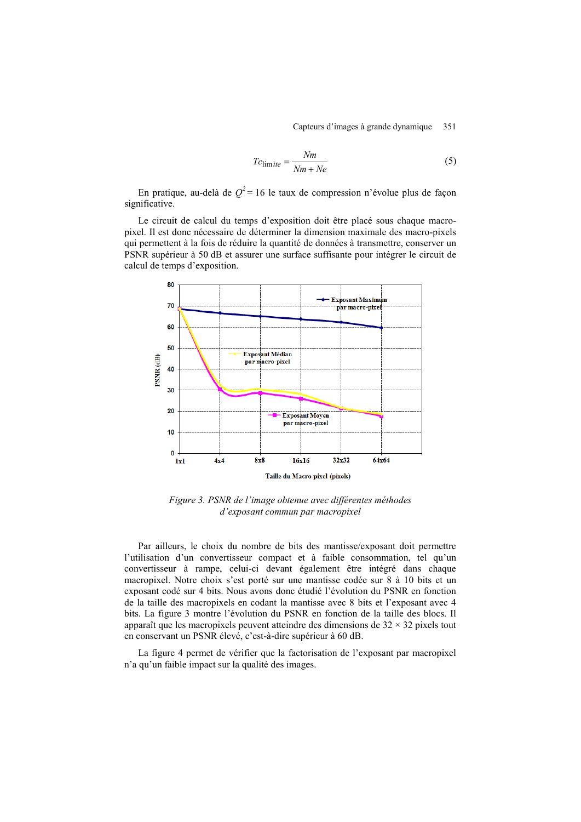$$
T_{\text{C}_{\text{lim}}\,ite} = \frac{Nm}{Nm + Ne} \tag{5}
$$

En pratique, au-delà de  $Q^2$ = 16 le taux de compression n'évolue plus de facon significative.

Le circuit de calcul du temps d'exposition doit être placé sous chaque macropixel. Il est donc nécessaire de déterminer la dimension maximale des macro-pixels qui permettent à la fois de réduire la quantité de données à transmettre, conserver un PSNR supérieur à 50 dB et assurer une surface suffisante pour intégrer le circuit de calcul de temps d'exposition.



*Figure 3. PSNR de l'image obtenue avec différentes méthodes d'exposant commun par macropixel*

Par ailleurs, le choix du nombre de bits des mantisse/exposant doit permettre l'utilisation d'un convertisseur compact et à faible consommation, tel qu'un convertisseur à rampe, celui-ci devant également être intégré dans chaque macropixel. Notre choix s'est porté sur une mantisse codée sur 8 à 10 bits et un exposant codé sur 4 bits. Nous avons donc étudié l'évolution du PSNR en fonction de la taille des macropixels en codant la mantisse avec 8 bits et l'exposant avec 4 bits. La figure 3 montre l'évolution du PSNR en fonction de la taille des blocs. Il apparaît que les macropixels peuvent atteindre des dimensions de  $32 \times 32$  pixels tout en conservant un PSNR élevé, c'est-à-dire supérieur à 60 dB.

La figure 4 permet de vérifier que la factorisation de l'exposant par macropixel n'a qu'un faible impact sur la qualité des images.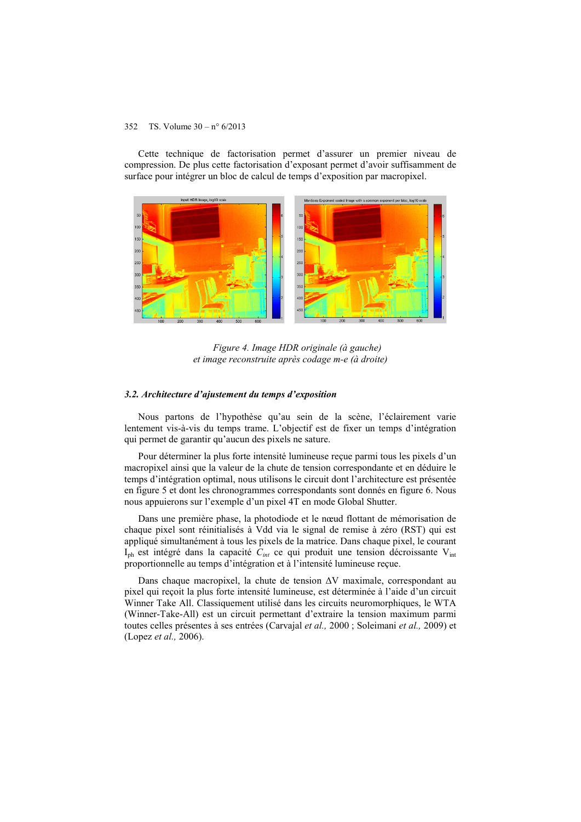Cette technique de factorisation permet d'assurer un premier niveau de compression. De plus cette factorisation d'exposant permet d'avoir suffisamment de surface pour intégrer un bloc de calcul de temps d'exposition par macropixel.



*Figure 4. Image HDR originale (à gauche) et image reconstruite après codage m-e (à droite)*

#### *3.2. Architecture d'ajustement du temps d'exposition*

Nous partons de l'hypothèse qu'au sein de la scène, l'éclairement varie lentement vis-à-vis du temps trame. L'objectif est de fixer un temps d'intégration qui permet de garantir qu'aucun des pixels ne sature.

Pour déterminer la plus forte intensité lumineuse reçue parmi tous les pixels d'un macropixel ainsi que la valeur de la chute de tension correspondante et en déduire le temps d'intégration optimal, nous utilisons le circuit dont l'architecture est présentée en figure 5 et dont les chronogrammes correspondants sont donnés en figure 6. Nous nous appuierons sur l'exemple d'un pixel 4T en mode Global Shutter.

Dans une première phase, la photodiode et le nœud flottant de mémorisation de chaque pixel sont réinitialisés à Vdd via le signal de remise à zéro (RST) qui est appliqué simultanément à tous les pixels de la matrice. Dans chaque pixel, le courant I<sub>ph</sub> est intégré dans la capacité  $C_{int}$  ce qui produit une tension décroissante V<sub>int</sub> proportionnelle au temps d'intégration et à l'intensité lumineuse reçue.

Dans chaque macropixel, la chute de tension ΔV maximale, correspondant au pixel qui reçoit la plus forte intensité lumineuse, est déterminée à l'aide d'un circuit Winner Take All. Classiquement utilisé dans les circuits neuromorphiques, le WTA (Winner-Take-All) est un circuit permettant d'extraire la tension maximum parmi toutes celles présentes à ses entrées (Carvajal *et al.,* 2000 ; Soleimani *et al.,* 2009) et (Lopez *et al.,* 2006).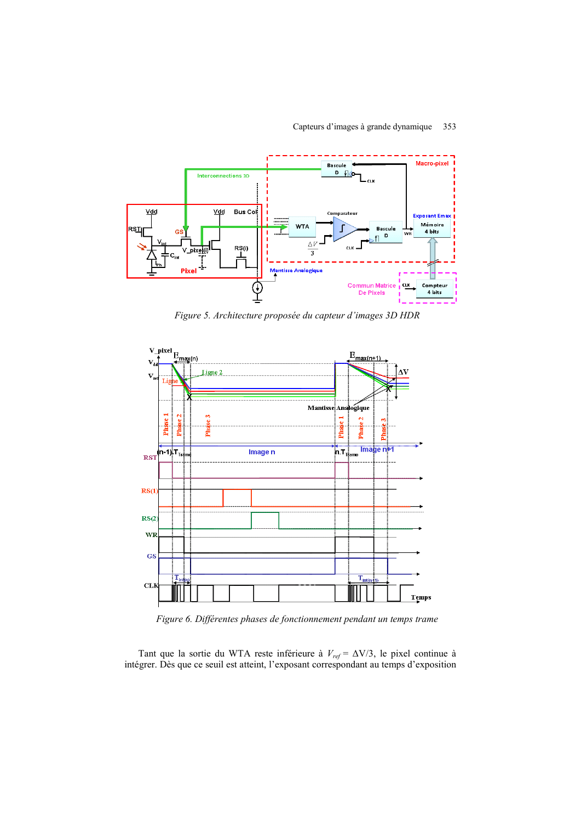

*Figure 5. Architecture proposée du capteur d'images 3D HDR*



*Figure 6. Différentes phases de fonctionnement pendant un temps trame*

Tant que la sortie du WTA reste inférieure à *Vref* = ΔV/3, le pixel continue à intégrer. Dès que ce seuil est atteint, l'exposant correspondant au temps d'exposition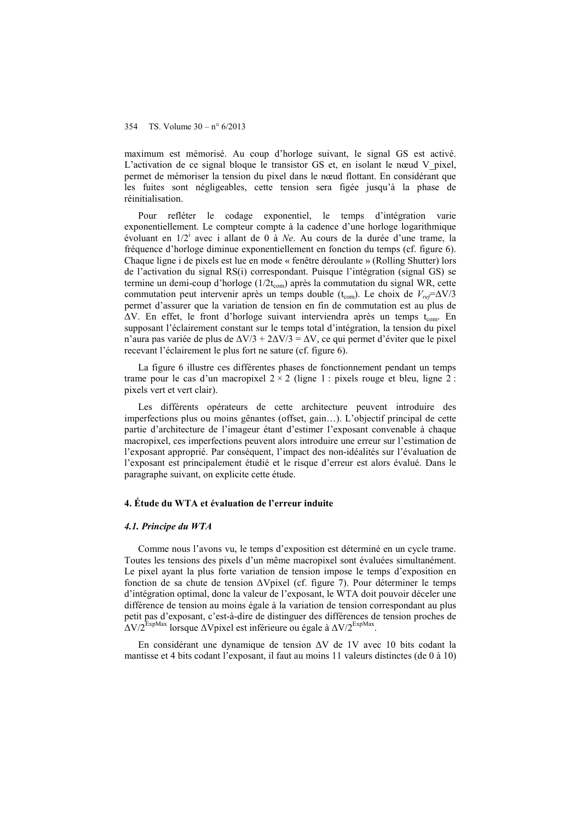maximum est mémorisé. Au coup d'horloge suivant, le signal GS est activé. L'activation de ce signal bloque le transistor GS et, en isolant le nœud V pixel, permet de mémoriser la tension du pixel dans le nœud flottant. En considérant que les fuites sont négligeables, cette tension sera figée jusqu'à la phase de réinitialisation.

Pour refléter le codage exponentiel, le temps d'intégration varie exponentiellement. Le compteur compte à la cadence d'une horloge logarithmique évoluant en 1/2<sup>i</sup> avec i allant de 0 à *Ne*. Au cours de la durée d'une trame, la fréquence d'horloge diminue exponentiellement en fonction du temps (cf. figure 6). Chaque ligne i de pixels est lue en mode « fenêtre déroulante » (Rolling Shutter) lors de l'activation du signal RS(i) correspondant. Puisque l'intégration (signal GS) se termine un demi-coup d'horloge (1/2t<sub>com</sub>) après la commutation du signal WR, cette commutation peut intervenir après un temps double (t<sub>com</sub>). Le choix de  $V_{ref} = \Delta V/3$ permet d'assurer que la variation de tension en fin de commutation est au plus de  $\Delta V$ . En effet, le front d'horloge suivant interviendra après un temps t<sub>com</sub>. En supposant l'éclairement constant sur le temps total d'intégration, la tension du pixel n'aura pas variée de plus de  $\Delta V/3$  +  $2\Delta V/3$  =  $\Delta V$ , ce qui permet d'éviter que le pixel recevant l'éclairement le plus fort ne sature (cf. figure 6).

La figure 6 illustre ces différentes phases de fonctionnement pendant un temps trame pour le cas d'un macropixel  $2 \times 2$  (ligne 1 : pixels rouge et bleu, ligne 2 : pixels vert et vert clair).

Les différents opérateurs de cette architecture peuvent introduire des imperfections plus ou moins gênantes (offset, gain…). L'objectif principal de cette partie d'architecture de l'imageur étant d'estimer l'exposant convenable à chaque macropixel, ces imperfections peuvent alors introduire une erreur sur l'estimation de l'exposant approprié. Par conséquent, l'impact des non-idéalités sur l'évaluation de l'exposant est principalement étudié et le risque d'erreur est alors évalué. Dans le paragraphe suivant, on explicite cette étude.

#### **4. Étude du WTA et évaluation de l'erreur induite**

#### *4.1. Principe du WTA*

Comme nous l'avons vu, le temps d'exposition est déterminé en un cycle trame. Toutes les tensions des pixels d'un même macropixel sont évaluées simultanément. Le pixel ayant la plus forte variation de tension impose le temps d'exposition en fonction de sa chute de tension ΔVpixel (cf. figure 7). Pour déterminer le temps d'intégration optimal, donc la valeur de l'exposant, le WTA doit pouvoir déceler une différence de tension au moins égale à la variation de tension correspondant au plus petit pas d'exposant, c'est-à-dire de distinguer des différences de tension proches de  $\Delta$ V/2<sup>ExpMax</sup> lorsque  $\Delta$ Vpixel est inférieure ou égale à  $\Delta$ V/2<sup>ExpMax</sup>.

En considérant une dynamique de tension ΔV de 1V avec 10 bits codant la mantisse et 4 bits codant l'exposant, il faut au moins 11 valeurs distinctes (de 0 à 10)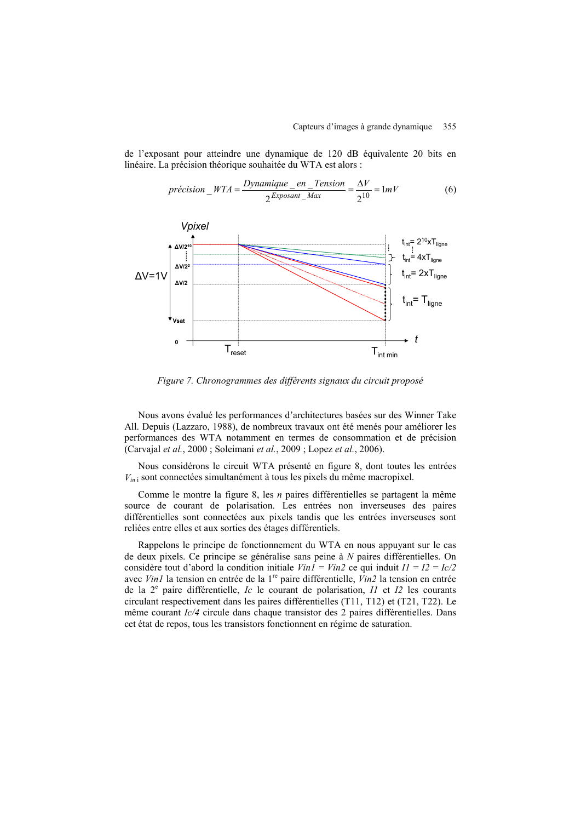de l'exposant pour atteindre une dynamique de 120 dB équivalente 20 bits en linéaire. La précision théorique souhaitée du WTA est alors :

$$
pr\acute{e c}ision\_WTA = \frac{Dynamic\_en\_Tension}{2^{Exposant\_Max}} = \frac{\Delta V}{2^{10}} = 1mV
$$
 (6)



*Figure 7. Chronogrammes des différents signaux du circuit proposé*

Nous avons évalué les performances d'architectures basées sur des Winner Take All. Depuis (Lazzaro, 1988), de nombreux travaux ont été menés pour améliorer les performances des WTA notamment en termes de consommation et de précision (Carvajal *et al.*, 2000 ; Soleimani *et al.*, 2009 ; Lopez *et al.*, 2006).

Nous considérons le circuit WTA présenté en figure 8, dont toutes les entrées *Vin* <sup>i</sup> sont connectées simultanément à tous les pixels du même macropixel.

Comme le montre la figure 8, les *n* paires différentielles se partagent la même source de courant de polarisation. Les entrées non inverseuses des paires différentielles sont connectées aux pixels tandis que les entrées inverseuses sont reliées entre elles et aux sorties des étages différentiels.

Rappelons le principe de fonctionnement du WTA en nous appuyant sur le cas de deux pixels. Ce principe se généralise sans peine à *N* paires différentielles. On considère tout d'abord la condition initiale  $VinI = Vin2$  ce qui induit  $II = I2 = Ic/2$ avec *Vin1* la tension en entrée de la 1re paire différentielle, *Vin2* la tension en entrée de la  $2^e$  paire différentielle, *Ic* le courant de polarisation, *II* et *I2* les courants circulant respectivement dans les paires différentielles (T11, T12) et (T21, T22). Le même courant *Ic/4* circule dans chaque transistor des 2 paires différentielles. Dans cet état de repos, tous les transistors fonctionnent en régime de saturation.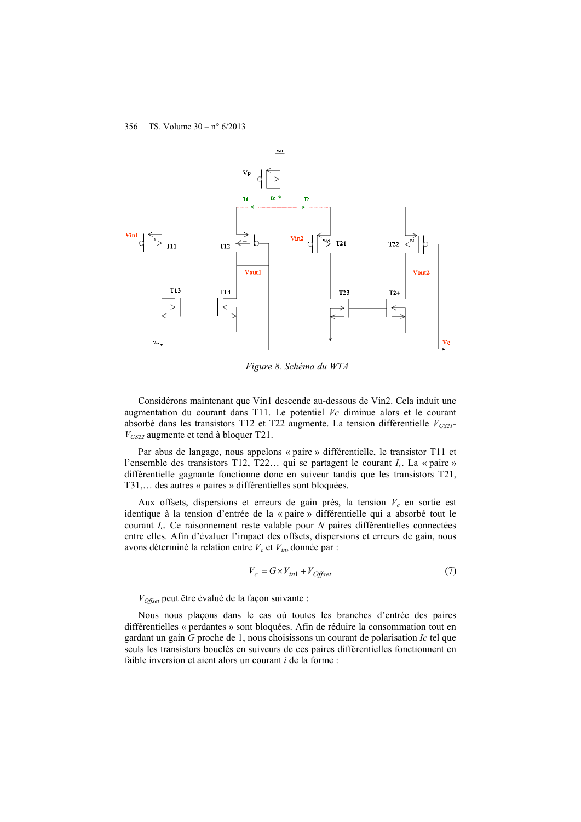

*Figure 8. Schéma du WTA*

Considérons maintenant que Vin1 descende au-dessous de Vin2. Cela induit une augmentation du courant dans T11. Le potentiel *Vc* diminue alors et le courant absorbé dans les transistors T12 et T22 augmente. La tension différentielle  $V_{GS21}$ *VGS22* augmente et tend à bloquer T21.

Par abus de langage, nous appelons « paire » différentielle, le transistor T11 et l'ensemble des transistors T12, T22… qui se partagent le courant *Ic*. La « paire » différentielle gagnante fonctionne donc en suiveur tandis que les transistors T21, T31,… des autres « paires » différentielles sont bloquées.

Aux offsets, dispersions et erreurs de gain près, la tension  $V_c$  en sortie est identique à la tension d'entrée de la « paire » différentielle qui a absorbé tout le courant *Ic*. Ce raisonnement reste valable pour *N* paires différentielles connectées entre elles. Afin d'évaluer l'impact des offsets, dispersions et erreurs de gain, nous avons déterminé la relation entre  $V_c$  et  $V_{in}$ , donnée par :

$$
V_c = G \times V_{in1} + V_{Offset}
$$
\n<sup>(7)</sup>

*VOffset* peut être évalué de la façon suivante :

Nous nous plaçons dans le cas où toutes les branches d'entrée des paires différentielles « perdantes » sont bloquées. Afin de réduire la consommation tout en gardant un gain *G* proche de 1, nous choisissons un courant de polarisation *Ic* tel que seuls les transistors bouclés en suiveurs de ces paires différentielles fonctionnent en faible inversion et aient alors un courant *i* de la forme :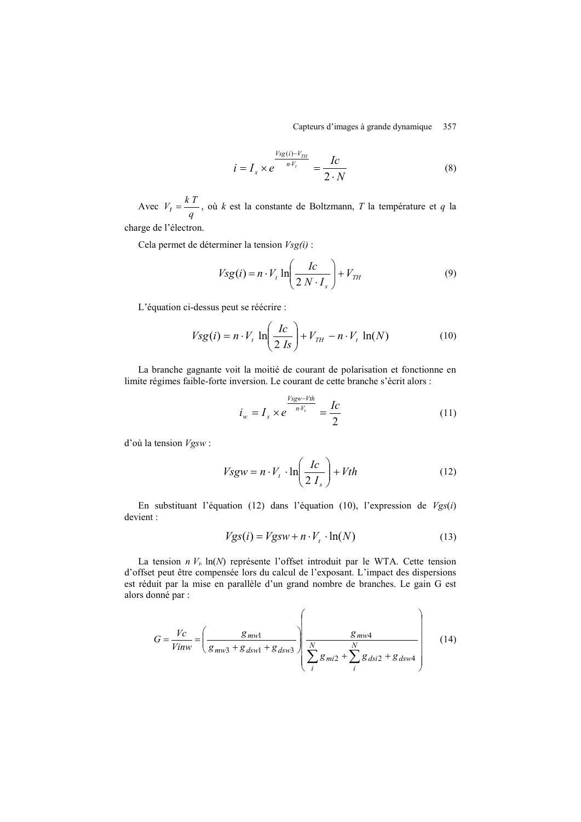Capteurs d'images à grande dynamique 357

$$
i = I_s \times e^{\frac{V_{sg}(i) - V_{TH}}{n \cdot V_t}} = \frac{I_c}{2 \cdot N}
$$
 (8)

Avec  $V_t = \frac{N}{q}$  $V_t = \frac{kT}{a}$ , où *k* est la constante de Boltzmann, *T* la température et *q* la charge de l'électron.

<span id="page-14-0"></span>Cela permet de déterminer la tension *Vsg(i)* :

$$
Vsg(i) = n \cdot V_t \ln\left(\frac{Ic}{2 N \cdot I_s}\right) + V_{TH}
$$
\n(9)

L'équation [ci-dessus](#page-14-0) peut se réécrire :

$$
Vsg(i) = n \cdot V_t \ln\left(\frac{Ic}{2 \text{ Is}}\right) + V_{TH} - n \cdot V_t \ln(N) \tag{10}
$$

La branche gagnante voit la moitié de courant de polarisation et fonctionne en limite régimes faible-forte inversion. Le courant de cette branche s'écrit alors :

$$
i_w = I_s \times e^{\frac{Vsgw - Vth}{n \cdot V_t}} = \frac{Ic}{2}
$$
 (11)

d'où la tension *Vgsw* :

$$
Vsgw = n \cdot V_t \cdot \ln\left(\frac{Ic}{2 I_s}\right) + Vth
$$
 (12)

En substituant l'équation (12) dans l'équation (10), l'expression de *Vgs*(*i*) devient :

$$
Vgs(i) = Vgsw + n \cdot V_t \cdot \ln(N) \tag{13}
$$

 $\overline{ }$ 

La tension  $n V_t$ . ln(N) représente l'offset introduit par le WTA. Cette tension d'offset peut être compensée lors du calcul de l'exposant. L'impact des dispersions est réduit par la mise en parallèle d'un grand nombre de branches. Le gain G est alors donné par :

$$
G = \frac{Vc}{Vinv} = \left(\frac{g_{mwl}}{g_{mws} + g_{dsw1} + g_{dsw3}}\right) \left(\frac{g_{mws}}{\sum_{i=1}^{N} g_{mi2} + \sum_{i=1}^{N} g_{disi2} + g_{dsw4}}\right) \tag{14}
$$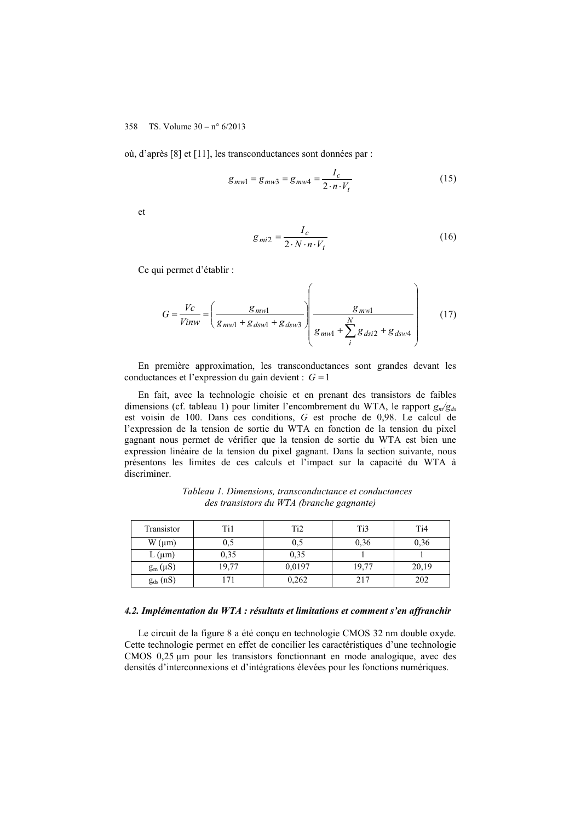où, d'après [8] et [11], les transconductances sont données par :

$$
g_{mw1} = g_{mw3} = g_{mw4} = \frac{I_c}{2 \cdot n \cdot V_t}
$$
 (15)

et

$$
g_{mi2} = \frac{I_c}{2 \cdot N \cdot n \cdot V_t} \tag{16}
$$

Ce qui permet d'établir :

$$
G = \frac{Vc}{Vinv} = \left(\frac{g_{mwl}}{g_{mwl} + g_{dsw1} + g_{dsw3}}\right) \left(\frac{g_{mwl}}{g_{mwl} + \sum_{i}^{N} g_{disi2} + g_{dsw4}}\right) \tag{17}
$$

En première approximation, les transconductances sont grandes devant les conductances et l'expression du gain devient :  $G = 1$ 

En fait, avec la technologie choisie et en prenant des transistors de faibles dimensions (cf. tableau 1) pour limiter l'encombrement du WTA, le rapport *gm/gds* est voisin de 100. Dans ces conditions, *G* est proche de 0,98. Le calcul de l'expression de la tension de sortie du WTA en fonction de la tension du pixel gagnant nous permet de vérifier que la tension de sortie du WTA est bien une expression linéaire de la tension du pixel gagnant. Dans la section suivante, nous présentons les limites de ces calculs et l'impact sur la capacité du WTA à discriminer.

| Transistor    | Ti1   | Ti <sub>2</sub> | Ti3   | T <sub>i</sub> 4 |
|---------------|-------|-----------------|-------|------------------|
| $W(\mu m)$    | 0,5   | 0,5             | 0,36  | 0,36             |
| $L(\mu m)$    | 0,35  | 0.35            |       |                  |
| $g_m(\mu S)$  | 19,77 | 0,0197          | 19,77 | 20,19            |
| $g_{ds}$ (nS) |       | 0,262           | 217   | 202              |

*Tableau 1. Dimensions, transconductance et conductances des transistors du WTA (branche gagnante)*

#### *4.2. Implémentation du WTA : résultats et limitations et comment s'en affranchir*

Le circuit de la figure 8 a été conçu en technologie CMOS 32 nm double oxyde. Cette technologie permet en effet de concilier les caractéristiques d'une technologie CMOS 0,25 µm pour les transistors fonctionnant en mode analogique, avec des densités d'interconnexions et d'intégrations élevées pour les fonctions numériques.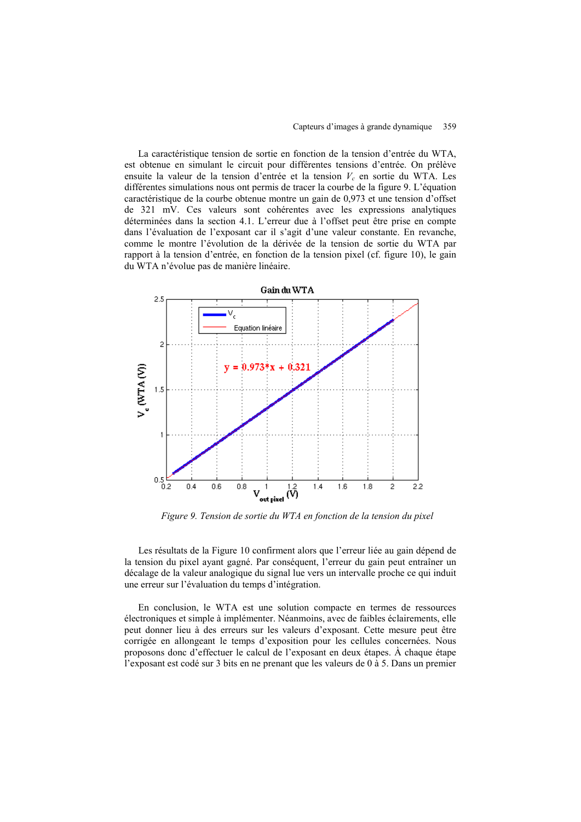La caractéristique tension de sortie en fonction de la tension d'entrée du WTA, est obtenue en simulant le circuit pour différentes tensions d'entrée. On prélève ensuite la valeur de la tension d'entrée et la tension  $V_c$  en sortie du WTA. Les différentes simulations nous ont permis de tracer la courbe de la figure 9. L'équation caractéristique de la courbe obtenue montre un gain de 0,973 et une tension d'offset de 321 mV. Ces valeurs sont cohérentes avec les expressions analytiques déterminées dans la section 4.1. L'erreur due à l'offset peut être prise en compte dans l'évaluation de l'exposant car il s'agit d'une valeur constante. En revanche, comme le montre l'évolution de la dérivée de la tension de sortie du WTA par rapport à la tension d'entrée, en fonction de la tension pixel (cf. figure 10), le gain du WTA n'évolue pas de manière linéaire.



*Figure 9. Tension de sortie du WTA en fonction de la tension du pixel*

Les résultats de la [Figure 10](#page-17-0) confirment alors que l'erreur liée au gain dépend de la tension du pixel ayant gagné. Par conséquent, l'erreur du gain peut entraîner un décalage de la valeur analogique du signal lue vers un intervalle proche ce qui induit une erreur sur l'évaluation du temps d'intégration.

En conclusion, le WTA est une solution compacte en termes de ressources électroniques et simple à implémenter. Néanmoins, avec de faibles éclairements, elle peut donner lieu à des erreurs sur les valeurs d'exposant. Cette mesure peut être corrigée en allongeant le temps d'exposition pour les cellules concernées. Nous proposons donc d'effectuer le calcul de l'exposant en deux étapes. À chaque étape l'exposant est codé sur 3 bits en ne prenant que les valeurs de 0 à 5. Dans un premier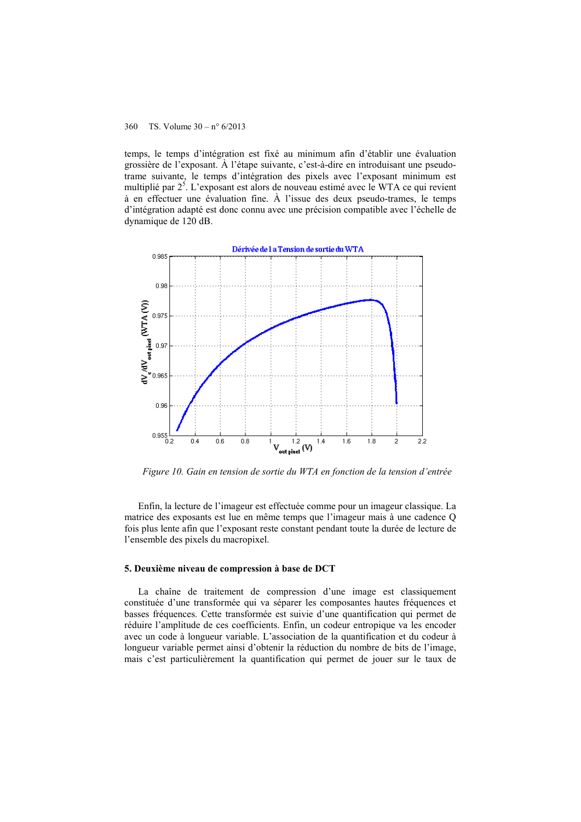temps, le temps d'intégration est fixé au minimum afin d'établir une évaluation grossière de l'exposant. À l'étape suivante, c'est-à-dire en introduisant une pseudotrame suivante, le temps d'intégration des pixels avec l'exposant minimum est multiplié par  $2<sup>5</sup>$ . L'exposant est alors de nouveau estimé avec le WTA ce qui revient à en effectuer une évaluation fine. À l'issue des deux pseudo-trames, le temps d'intégration adapté est donc connu avec une précision compatible avec l'échelle de dynamique de 120 dB.



<span id="page-17-0"></span>*Figure 10. Gain en tension de sortie du WTA en fonction de la tension d'entrée*

Enfin, la lecture de l'imageur est effectuée comme pour un imageur classique. La matrice des exposants est lue en même temps que l'imageur mais à une cadence Q fois plus lente afin que l'exposant reste constant pendant toute la durée de lecture de l'ensemble des pixels du macropixel.

#### **5. Deuxième niveau de compression à base de DCT**

La chaîne de traitement de compression d'une image est classiquement constituée d'une transformée qui va séparer les composantes hautes fréquences et basses fréquences. Cette transformée est suivie d'une quantification qui permet de réduire l'amplitude de ces coefficients. Enfin, un codeur entropique va les encoder avec un code à longueur variable. L'association de la quantification et du codeur à longueur variable permet ainsi d'obtenir la réduction du nombre de bits de l'image, mais c'est particulièrement la quantification qui permet de jouer sur le taux de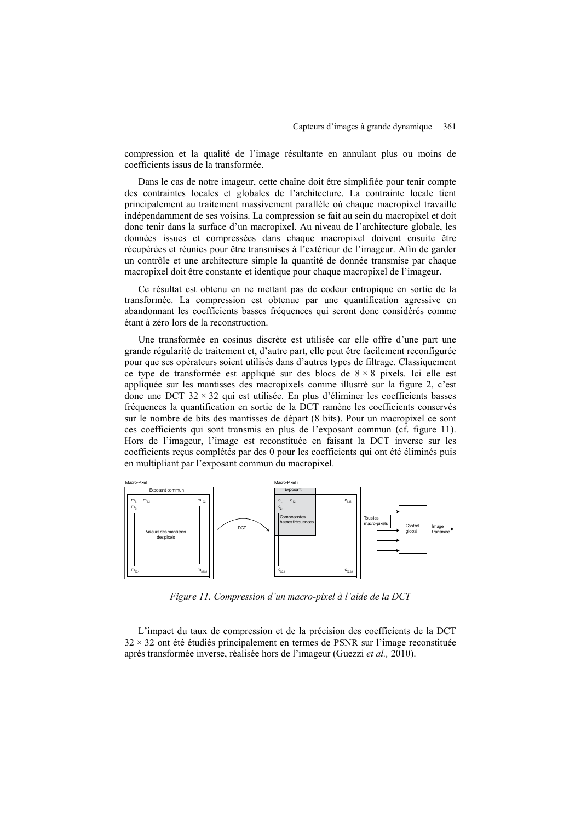compression et la qualité de l'image résultante en annulant plus ou moins de coefficients issus de la transformée.

Dans le cas de notre imageur, cette chaîne doit être simplifiée pour tenir compte des contraintes locales et globales de l'architecture. La contrainte locale tient principalement au traitement massivement parallèle où chaque macropixel travaille indépendamment de ses voisins. La compression se fait au sein du macropixel et doit donc tenir dans la surface d'un macropixel. Au niveau de l'architecture globale, les données issues et compressées dans chaque macropixel doivent ensuite être récupérées et réunies pour être transmises à l'extérieur de l'imageur. Afin de garder un contrôle et une architecture simple la quantité de donnée transmise par chaque macropixel doit être constante et identique pour chaque macropixel de l'imageur.

Ce résultat est obtenu en ne mettant pas de codeur entropique en sortie de la transformée. La compression est obtenue par une quantification agressive en abandonnant les coefficients basses fréquences qui seront donc considérés comme étant à zéro lors de la reconstruction.

Une transformée en cosinus discrète est utilisée car elle offre d'une part une grande régularité de traitement et, d'autre part, elle peut être facilement reconfigurée pour que ses opérateurs soient utilisés dans d'autres types de filtrage. Classiquement ce type de transformée est appliqué sur des blocs de  $8 \times 8$  pixels. Ici elle est appliquée sur les mantisses des macropixels comme illustré sur la figure 2, c'est donc une DCT  $32 \times 32$  qui est utilisée. En plus d'éliminer les coefficients basses fréquences la quantification en sortie de la DCT ramène les coefficients conservés sur le nombre de bits des mantisses de départ (8 bits). Pour un macropixel ce sont ces coefficients qui sont transmis en plus de l'exposant commun (cf. figure 11). Hors de l'imageur, l'image est reconstituée en faisant la DCT inverse sur les coefficients reçus complétés par des 0 pour les coefficients qui ont été éliminés puis en multipliant par l'exposant commun du macropixel.



*Figure 11. Compression d'un macro-pixel à l'aide de la DCT*

L'impact du taux de compression et de la précision des coefficients de la DCT  $32 \times 32$  ont été étudiés principalement en termes de PSNR sur l'image reconstituée après transformée inverse, réalisée hors de l'imageur (Guezzi *et al.,* 2010).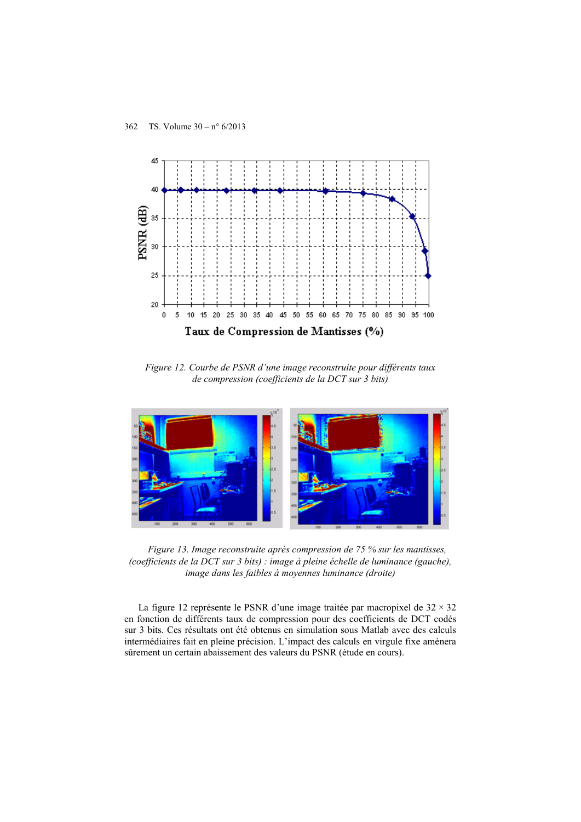

*Figure 12. Courbe de PSNR d'une image reconstruite pour différents taux de compression (coefficients de la DCT sur 3 bits)*



*Figure 13. Image reconstruite après compression de 75 % sur les mantisses, (coefficients de la DCT sur 3 bits) : image à pleine échelle de luminance (gauche), image dans les faibles à moyennes luminance (droite)*

La figure 12 représente le PSNR d'une image traitée par macropixel de  $32 \times 32$ en fonction de différents taux de compression pour des coefficients de DCT codés sur 3 bits. Ces résultats ont été obtenus en simulation sous Matlab avec des calculs intermédiaires fait en pleine précision. L'impact des calculs en virgule fixe amènera sûrement un certain abaissement des valeurs du PSNR (étude en cours).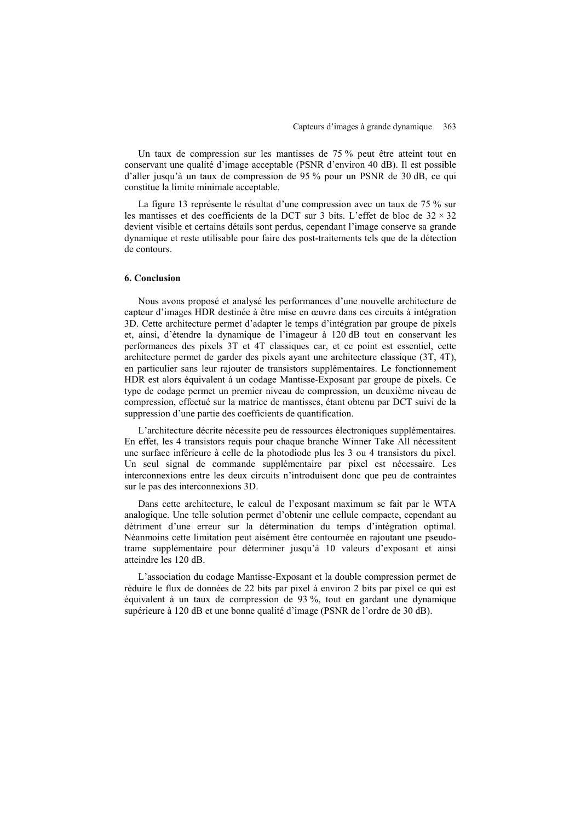Un taux de compression sur les mantisses de 75 % peut être atteint tout en conservant une qualité d'image acceptable (PSNR d'environ 40 dB). Il est possible d'aller jusqu'à un taux de compression de 95 % pour un PSNR de 30 dB, ce qui constitue la limite minimale acceptable.

La figure 13 représente le résultat d'une compression avec un taux de 75 % sur les mantisses et des coefficients de la DCT sur 3 bits. L'effet de bloc de 32 × 32 devient visible et certains détails sont perdus, cependant l'image conserve sa grande dynamique et reste utilisable pour faire des post-traitements tels que de la détection de contours.

#### **6. Conclusion**

Nous avons proposé et analysé les performances d'une nouvelle architecture de capteur d'images HDR destinée à être mise en œuvre dans ces circuits à intégration 3D. Cette architecture permet d'adapter le temps d'intégration par groupe de pixels et, ainsi, d'étendre la dynamique de l'imageur à 120 dB tout en conservant les performances des pixels 3T et 4T classiques car, et ce point est essentiel, cette architecture permet de garder des pixels ayant une architecture classique (3T, 4T), en particulier sans leur rajouter de transistors supplémentaires. Le fonctionnement HDR est alors équivalent à un codage Mantisse-Exposant par groupe de pixels. Ce type de codage permet un premier niveau de compression, un deuxième niveau de compression, effectué sur la matrice de mantisses, étant obtenu par DCT suivi de la suppression d'une partie des coefficients de quantification.

L'architecture décrite nécessite peu de ressources électroniques supplémentaires. En effet, les 4 transistors requis pour chaque branche Winner Take All nécessitent une surface inférieure à celle de la photodiode plus les 3 ou 4 transistors du pixel. Un seul signal de commande supplémentaire par pixel est nécessaire. Les interconnexions entre les deux circuits n'introduisent donc que peu de contraintes sur le pas des interconnexions 3D.

Dans cette architecture, le calcul de l'exposant maximum se fait par le WTA analogique. Une telle solution permet d'obtenir une cellule compacte, cependant au détriment d'une erreur sur la détermination du temps d'intégration optimal. Néanmoins cette limitation peut aisément être contournée en rajoutant une pseudotrame supplémentaire pour déterminer jusqu'à 10 valeurs d'exposant et ainsi atteindre les 120 dB.

L'association du codage Mantisse-Exposant et la double compression permet de réduire le flux de données de 22 bits par pixel à environ 2 bits par pixel ce qui est équivalent à un taux de compression de 93 %, tout en gardant une dynamique supérieure à 120 dB et une bonne qualité d'image (PSNR de l'ordre de 30 dB).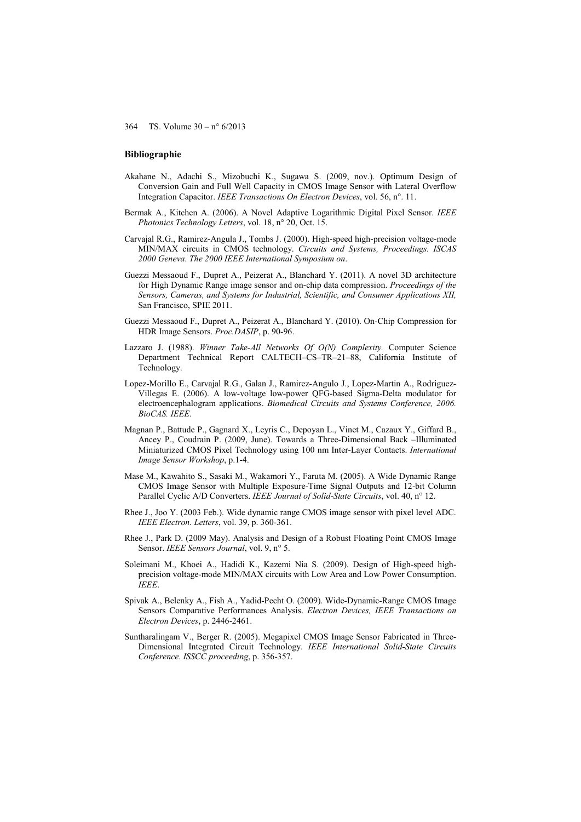#### **Bibliographie**

- Akahane N., Adachi S., Mizobuchi K., Sugawa S. (2009, nov.). Optimum Design of Conversion Gain and Full Well Capacity in CMOS Image Sensor with Lateral Overflow Integration Capacitor. *IEEE Transactions On Electron Devices*, vol. 56, n°. 11.
- Bermak A., Kitchen A. (2006). A Novel Adaptive Logarithmic Digital Pixel Sensor. *IEEE Photonics Technology Letters*, vol. 18, n° 20, Oct. 15.
- Carvajal R.G., Ramirez-Angula J., Tombs J. (2000). High-speed high-precision voltage-mode MIN/MAX circuits in CMOS technology. *Circuits and Systems, Proceedings. ISCAS 2000 Geneva. The 2000 IEEE International Symposium on*.
- Guezzi Messaoud F., Dupret A., Peizerat A., Blanchard Y. (2011). A novel 3D architecture for High Dynamic Range image sensor and on-chip data compression. *Proceedings of the Sensors, Cameras, and Systems for Industrial, Scientific, and Consumer Applications XII,*  San Francisco, SPIE 2011.
- Guezzi Messaoud F., Dupret A., Peizerat A., Blanchard Y. (2010). On-Chip Compression for HDR Image Sensors. *Proc.DASIP*, p. 90-96.
- Lazzaro J. (1988). *Winner Take-All Networks Of O(N) Complexity.* Computer Science Department Technical Report CALTECH–CS–TR–21–88, California Institute of Technology.
- Lopez-Morillo E., Carvajal R.G., Galan J., Ramirez-Angulo J., Lopez-Martin A., Rodriguez-Villegas E. (2006). A low-voltage low-power QFG-based Sigma-Delta modulator for electroencephalogram applications. *Biomedical Circuits and Systems Conference, 2006. BioCAS. IEEE*.
- Magnan P., Battude P., Gagnard X., Leyris C., Depoyan L., Vinet M., Cazaux Y., Giffard B., Ancey P., Coudrain P. (2009, June). Towards a Three-Dimensional Back –Illuminated Miniaturized CMOS Pixel Technology using 100 nm Inter-Layer Contacts. *International Image Sensor Workshop*, p.1-4.
- Mase M., Kawahito S., Sasaki M., Wakamori Y., Faruta M. (2005). A Wide Dynamic Range CMOS Image Sensor with Multiple Exposure-Time Signal Outputs and 12-bit Column Parallel Cyclic A/D Converters. *IEEE Journal of Solid-State Circuits*, vol. 40, n° 12.
- Rhee J., Joo Y. (2003 Feb.). Wide dynamic range CMOS image sensor with pixel level ADC. *IEEE Electron. Letters*, vol. 39, p. 360-361.
- Rhee J., Park D. (2009 May). Analysis and Design of a Robust Floating Point CMOS Image Sensor. *IEEE Sensors Journal*, vol. 9, n° 5.
- Soleimani M., Khoei A., Hadidi K., Kazemi Nia S. (2009). Design of High-speed highprecision voltage-mode MIN/MAX circuits with Low Area and Low Power Consumption. *IEEE*.
- Spivak A., Belenky A., Fish A., Yadid-Pecht O. (2009). Wide-Dynamic-Range CMOS Image Sensors Comparative Performances Analysis. *Electron Devices, IEEE Transactions on Electron Devices*, p. 2446-2461.
- Suntharalingam V., Berger R. (2005). Megapixel CMOS Image Sensor Fabricated in Three-Dimensional Integrated Circuit Technology. *IEEE International Solid-State Circuits Conference. ISSCC proceeding*, p. 356-357.